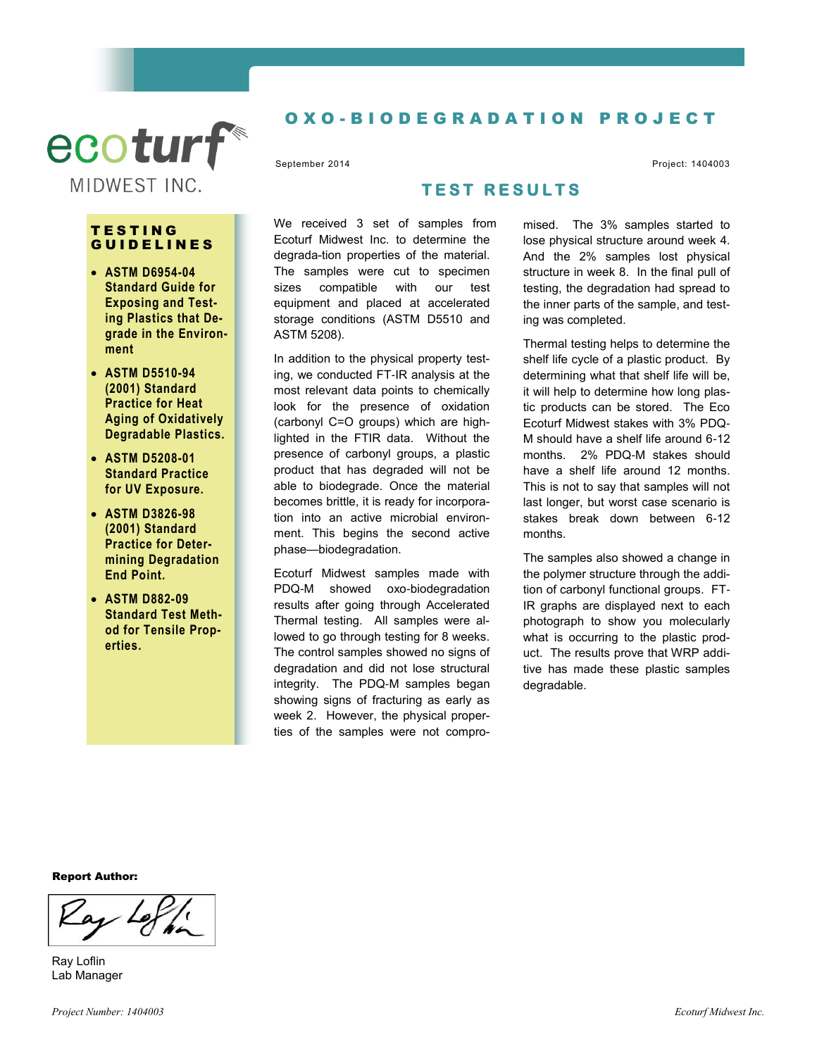

#### T E S T I N G **GUIDELINES**

- **ASTM D6954-04 Standard Guide for Exposing and Testing Plastics that Degrade in the Environment**
- **ASTM D5510-94 (2001) Standard Practice for Heat Aging of Oxidatively Degradable Plastics.**
- **ASTM D5208-01 Standard Practice for UV Exposure.**
- **ASTM D3826-98 (2001) Standard Practice for Determining Degradation End Point.**
- **ASTM D882-09 Standard Test Method for Tensile Properties.**

# O X O - B I O D E G R A D A T I O N P R O J E C T

September 2014 Project: 1404003

# **T E S T R E S U L T S**

We received 3 set of samples from Ecoturf Midwest Inc. to determine the degrada-tion properties of the material. The samples were cut to specimen sizes compatible with our test equipment and placed at accelerated storage conditions (ASTM D5510 and ASTM 5208).

In addition to the physical property testing, we conducted FT-IR analysis at the most relevant data points to chemically look for the presence of oxidation (carbonyl C=O groups) which are highlighted in the FTIR data. Without the presence of carbonyl groups, a plastic product that has degraded will not be able to biodegrade. Once the material becomes brittle, it is ready for incorporation into an active microbial environment. This begins the second active phase—biodegradation.

Ecoturf Midwest samples made with PDQ-M showed oxo-biodegradation results after going through Accelerated Thermal testing. All samples were allowed to go through testing for 8 weeks. The control samples showed no signs of degradation and did not lose structural integrity. The PDQ-M samples began showing signs of fracturing as early as week 2. However, the physical properties of the samples were not compromised. The 3% samples started to lose physical structure around week 4. And the 2% samples lost physical structure in week 8. In the final pull of testing, the degradation had spread to the inner parts of the sample, and testing was completed.

Thermal testing helps to determine the shelf life cycle of a plastic product. By determining what that shelf life will be, it will help to determine how long plastic products can be stored. The Eco Ecoturf Midwest stakes with 3% PDQ-M should have a shelf life around 6-12 months. 2% PDQ-M stakes should have a shelf life around 12 months. This is not to say that samples will not last longer, but worst case scenario is stakes break down between 6-12 months.

The samples also showed a change in the polymer structure through the addition of carbonyl functional groups. FT-IR graphs are displayed next to each photograph to show you molecularly what is occurring to the plastic product. The results prove that WRP additive has made these plastic samples degradable.

Report Author:

Ray Loflin Lab Manager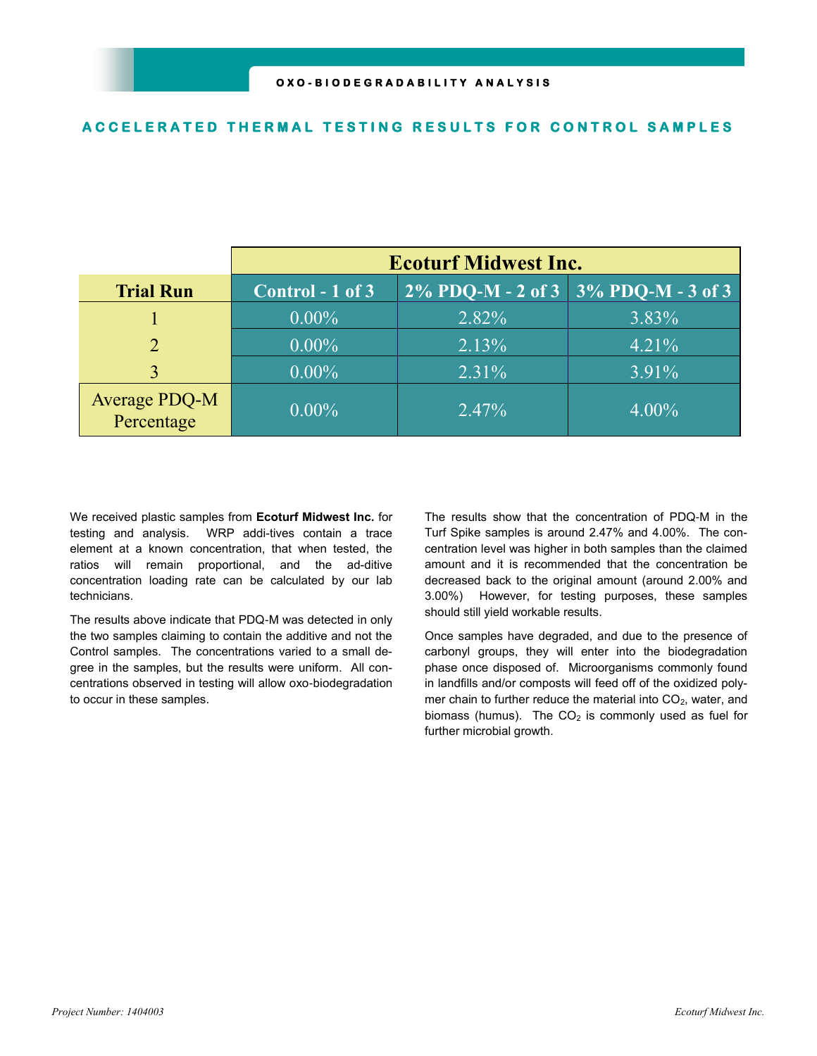#### **ACCELERATED THERMAL TESTING RESULTS FOR CONTROL SAMPLES**

|                             | <b>Ecoturf Midwest Inc.</b> |                                                      |          |
|-----------------------------|-----------------------------|------------------------------------------------------|----------|
| <b>Trial Run</b>            | Control - 1 of 3            | $\sqrt{2\% \ P DQ-M - 2 \ of \ 3}$ 3% PDQ-M - 3 of 3 |          |
|                             | $0.00\%$                    | 2.82%                                                | 3.83%    |
| $\mathcal{D}_{\mathcal{L}}$ | $0.00\%$                    | 2.13%                                                | 4.21%    |
| 3                           | $0.00\%$                    | $2.31\%$                                             | $3.91\%$ |
| Average PDQ-M<br>Percentage | $0.00\%$                    | $2.47\%$                                             | $4.00\%$ |

We received plastic samples from **Ecoturf Midwest Inc.** for testing and analysis. WRP addi-tives contain a trace element at a known concentration, that when tested, the ratios will remain proportional, and the ad-ditive concentration loading rate can be calculated by our lab technicians.

The results above indicate that PDQ-M was detected in only the two samples claiming to contain the additive and not the Control samples. The concentrations varied to a small degree in the samples, but the results were uniform. All concentrations observed in testing will allow oxo-biodegradation to occur in these samples.

The results show that the concentration of PDQ-M in the Turf Spike samples is around 2.47% and 4.00%. The concentration level was higher in both samples than the claimed amount and it is recommended that the concentration be decreased back to the original amount (around 2.00% and 3.00%) However, for testing purposes, these samples should still yield workable results.

Once samples have degraded, and due to the presence of carbonyl groups, they will enter into the biodegradation phase once disposed of. Microorganisms commonly found in landfills and/or composts will feed off of the oxidized polymer chain to further reduce the material into  $CO<sub>2</sub>$ , water, and biomass (humus). The  $CO<sub>2</sub>$  is commonly used as fuel for further microbial growth.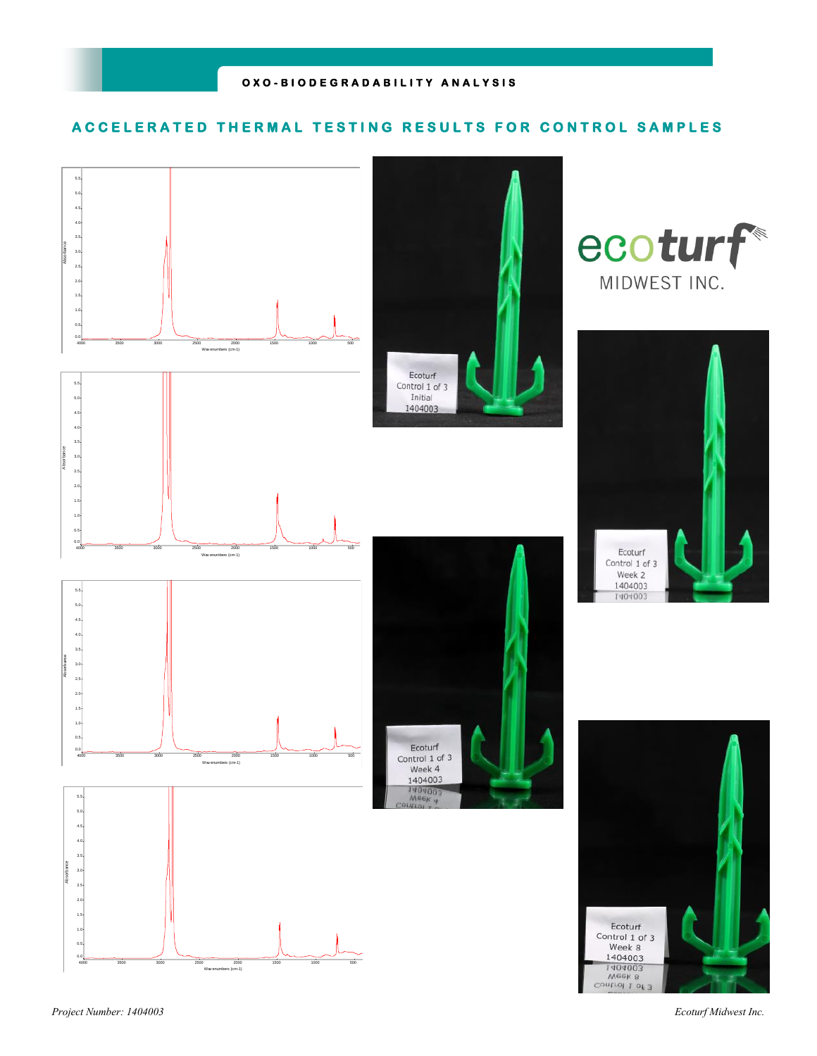## **ACCELERATED THERMAL TESTING RESULTS FOR CONTROL SAMPLES**

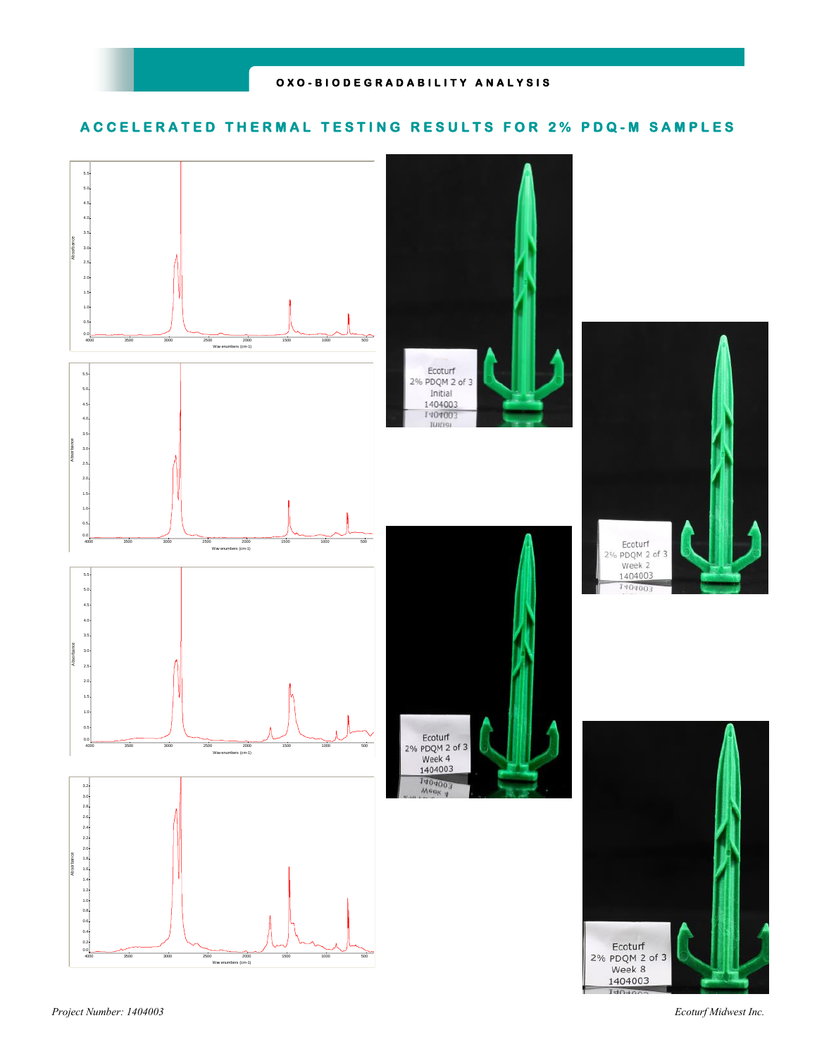## **ACCELERATED THERMAL TESTING RESULTS FOR 2% PDQ-M SAMPLES**

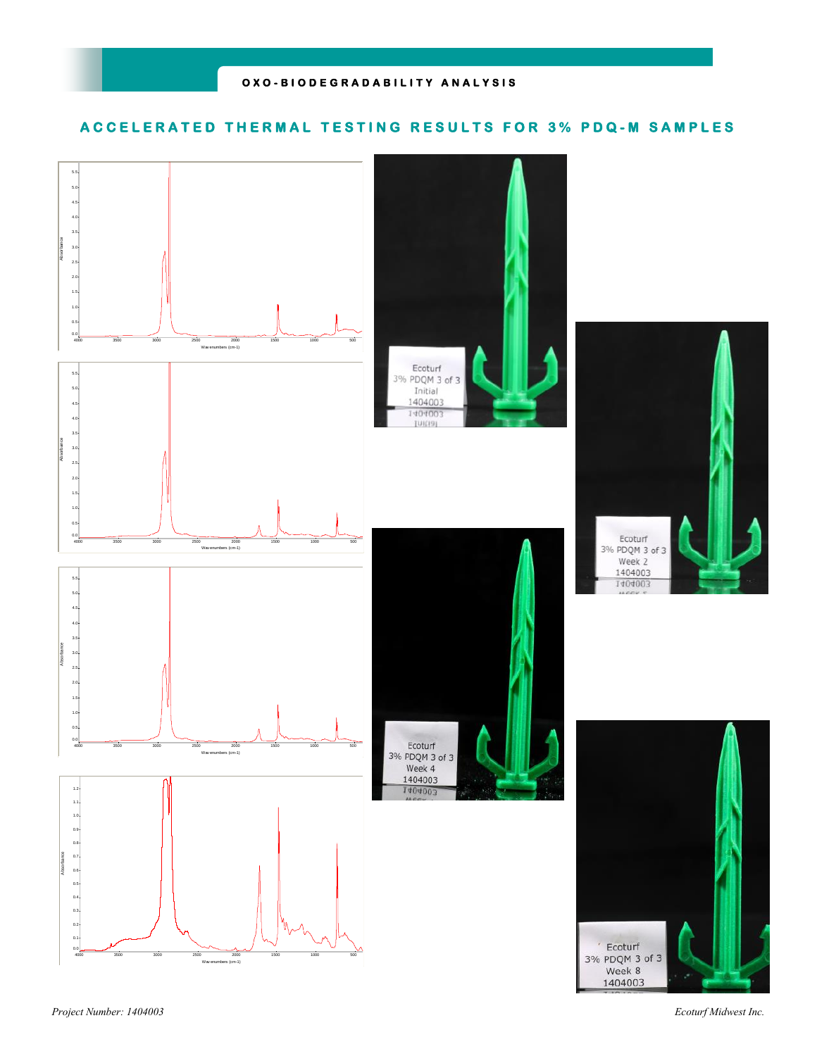## **ACCELERATED THERMAL TESTING RESULTS FOR 3% PDQ-M SAMPLES**

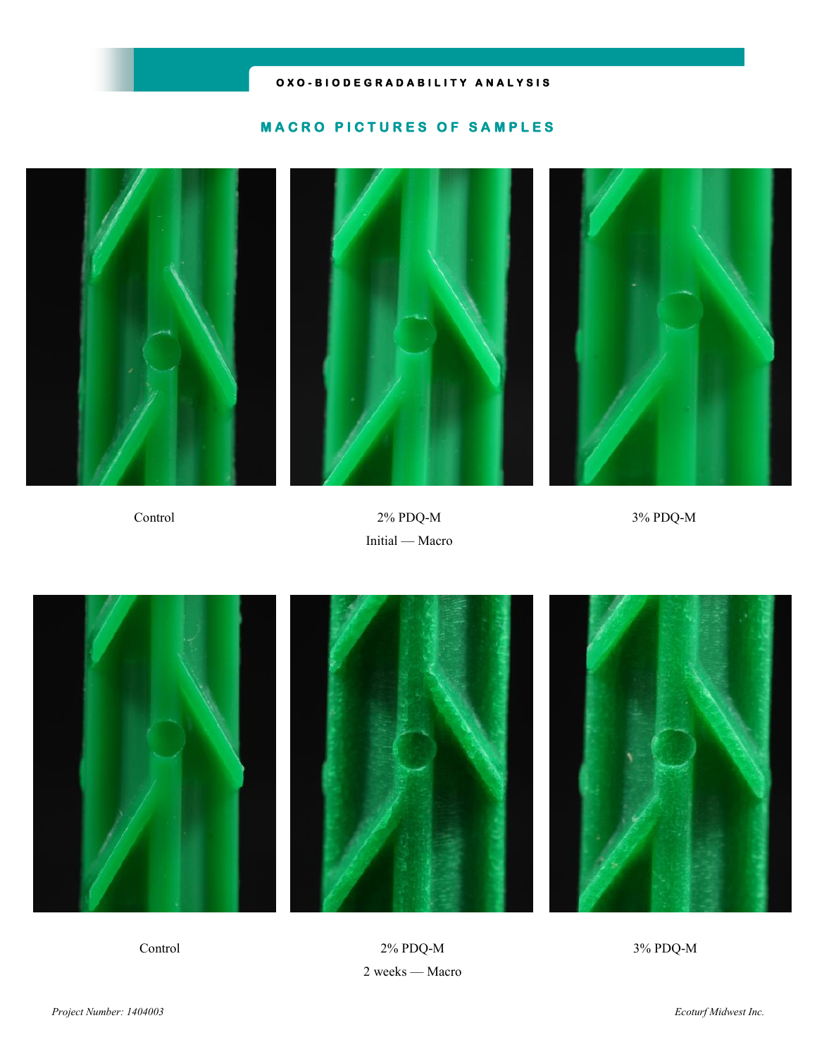## **O X O - B I O D E G R A D A B I L I T Y A N A L Y S I S**

## **MACRO PICTURES OF SAMPLES**







Control 2% PDQ-M 3% PDQ-M Initial — Macro



Control 2% PDQ-M 3% PDQ-M 2 weeks — Macro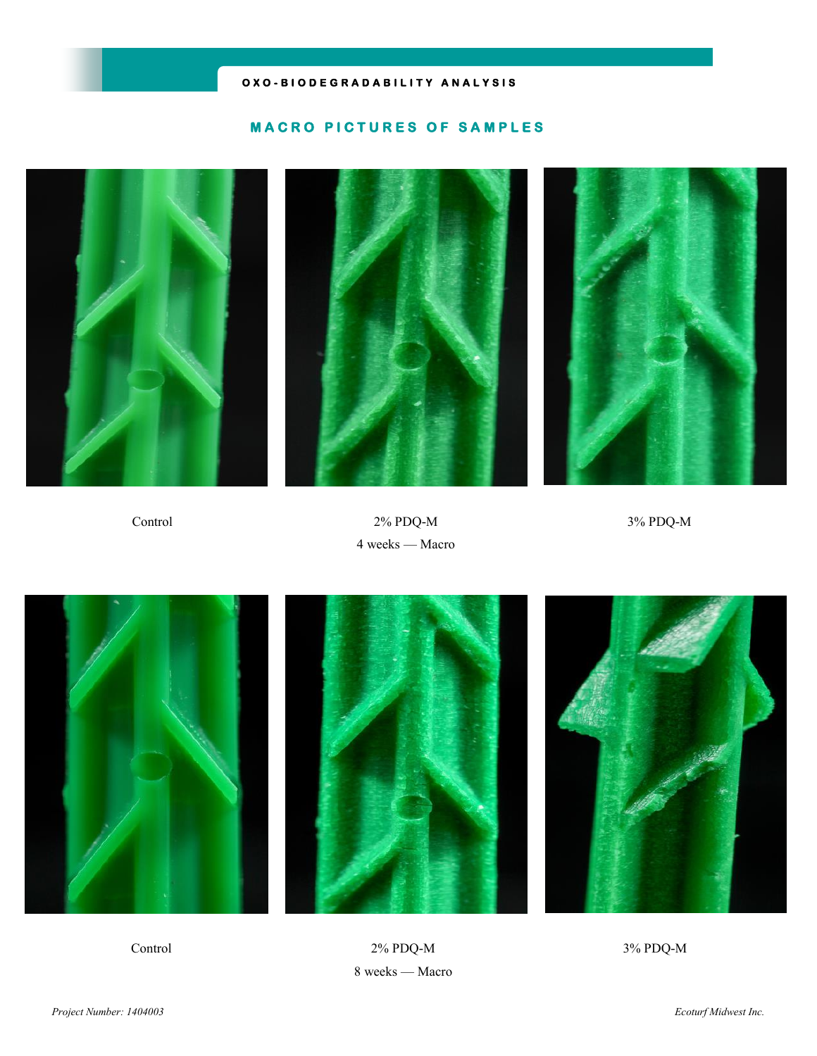## **O X O - B I O D E G R A D A B I L I T Y A N A L Y S I S**

#### **MACRO PICTURES OF SAMPLES**







Control 2% PDQ-M 3% PDQ-M 4 weeks — Macro



Control 2% PDQ-M 3% PDQ-M 8 weeks — Macro